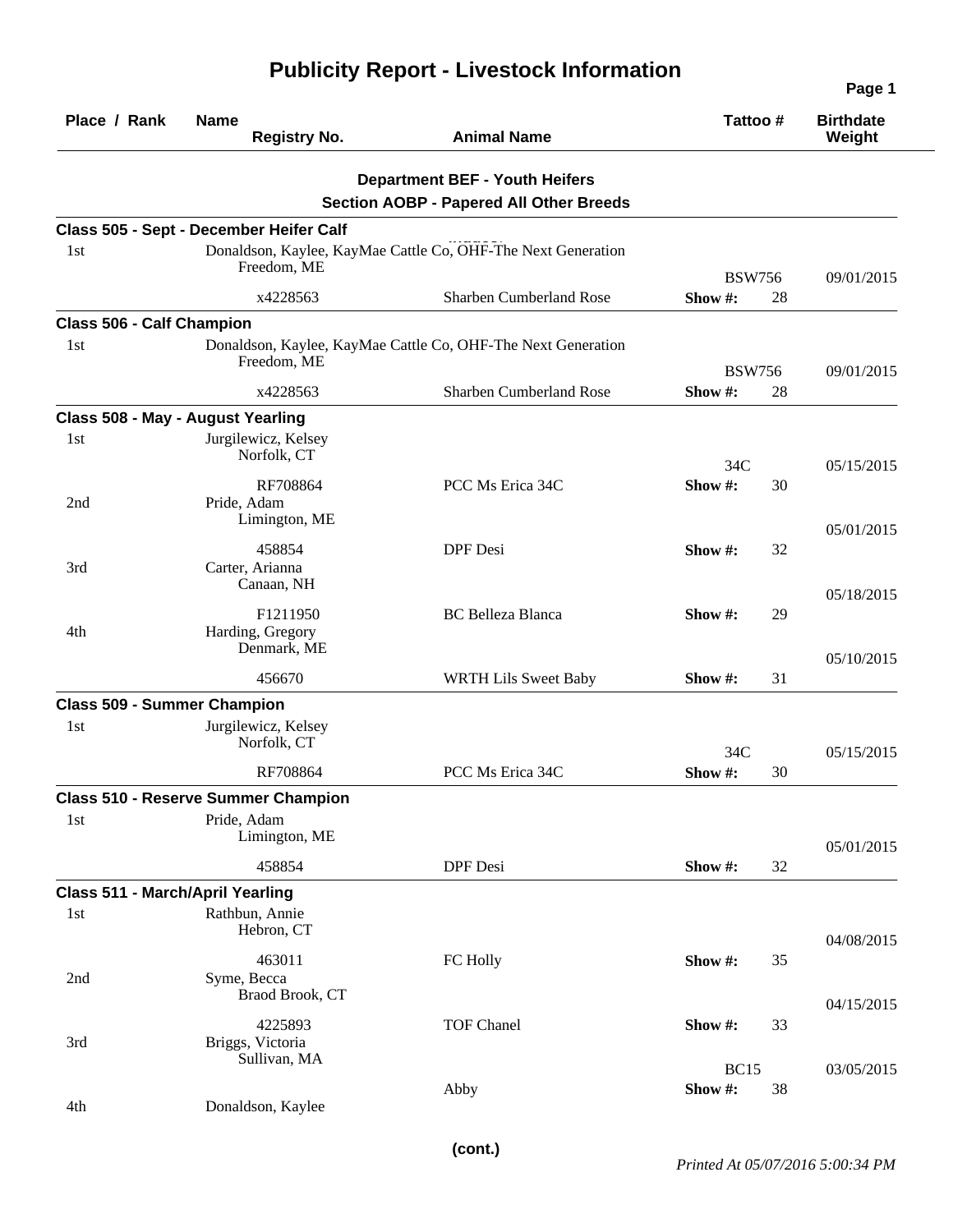## **Publicity Report - Livestock Information**

|                                         |                                             |                                                                                         |                              | Page 1                     |
|-----------------------------------------|---------------------------------------------|-----------------------------------------------------------------------------------------|------------------------------|----------------------------|
| Place / Rank                            | <b>Name</b><br><b>Registry No.</b>          | <b>Animal Name</b>                                                                      | Tattoo#                      | <b>Birthdate</b><br>Weight |
|                                         |                                             | <b>Department BEF - Youth Heifers</b><br><b>Section AOBP - Papered All Other Breeds</b> |                              |                            |
|                                         | Class 505 - Sept - December Heifer Calf     |                                                                                         |                              |                            |
| 1st                                     | Freedom, ME                                 | Donaldson, Kaylee, KayMae Cattle Co, OHF-The Next Generation                            | <b>BSW756</b>                | 09/01/2015                 |
|                                         | x4228563                                    | Sharben Cumberland Rose                                                                 | 28<br>Show #:                |                            |
| <b>Class 506 - Calf Champion</b>        |                                             |                                                                                         |                              |                            |
| 1st                                     | Freedom, ME                                 | Donaldson, Kaylee, KayMae Cattle Co, OHF-The Next Generation                            | <b>BSW756</b>                | 09/01/2015                 |
|                                         | x4228563                                    | Sharben Cumberland Rose                                                                 | Show #:<br>28                |                            |
|                                         | Class 508 - May - August Yearling           |                                                                                         |                              |                            |
| 1st                                     | Jurgilewicz, Kelsey<br>Norfolk, CT          |                                                                                         | 34C                          | 05/15/2015                 |
| 2nd                                     | RF708864<br>Pride, Adam<br>Limington, ME    | PCC Ms Erica 34C                                                                        | Show#:<br>30                 |                            |
| 3rd                                     | 458854<br>Carter, Arianna<br>Canaan, NH     | <b>DPF</b> Desi                                                                         | Show #:<br>32                | 05/01/2015                 |
| 4th                                     | F1211950<br>Harding, Gregory<br>Denmark, ME | <b>BC</b> Belleza Blanca                                                                | Show #:<br>29                | 05/18/2015                 |
|                                         | 456670                                      | <b>WRTH Lils Sweet Baby</b>                                                             | 31<br>Show #:                | 05/10/2015                 |
| <b>Class 509 - Summer Champion</b>      |                                             |                                                                                         |                              |                            |
| 1st                                     | Jurgilewicz, Kelsey<br>Norfolk, CT          |                                                                                         | 34C                          | 05/15/2015                 |
|                                         | RF708864                                    | PCC Ms Erica 34C                                                                        | Show #:<br>30                |                            |
|                                         | <b>Class 510 - Reserve Summer Champion</b>  |                                                                                         |                              |                            |
| 1st                                     | Pride, Adam<br>Limington, ME                |                                                                                         |                              | 05/01/2015                 |
|                                         | 458854                                      | DPF Desi                                                                                | Show #:<br>32                |                            |
| <b>Class 511 - March/April Yearling</b> |                                             |                                                                                         |                              |                            |
| 1st                                     | Rathbun, Annie<br>Hebron, CT                |                                                                                         |                              | 04/08/2015                 |
| 2nd                                     | 463011<br>Syme, Becca<br>Braod Brook, CT    | FC Holly                                                                                | Show #:<br>35                | 04/15/2015                 |
| 3rd                                     | 4225893<br>Briggs, Victoria<br>Sullivan, MA | <b>TOF Chanel</b>                                                                       | Show #:<br>33                |                            |
| 4th                                     | Donaldson, Kaylee                           | Abby                                                                                    | <b>BC15</b><br>Show #:<br>38 | 03/05/2015                 |